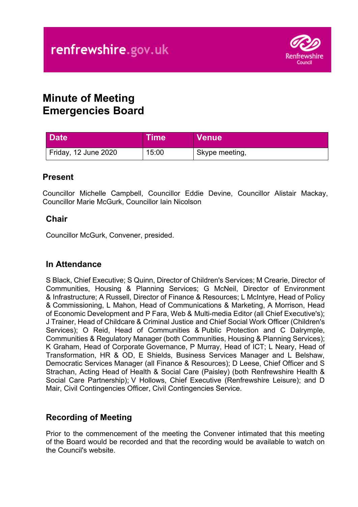

# **Minute of Meeting Emergencies Board**

| <b>Date</b>          | ∣Time <sup>∖</sup> | <b>Venue</b>   |
|----------------------|--------------------|----------------|
| Friday, 12 June 2020 | 15:00              | Skype meeting, |

## **Present**

Councillor Michelle Campbell, Councillor Eddie Devine, Councillor Alistair Mackay, Councillor Marie McGurk, Councillor Iain Nicolson

## **Chair**

Councillor McGurk, Convener, presided.

## **In Attendance**

S Black, Chief Executive; S Quinn, Director of Children's Services; M Crearie, Director of Communities, Housing & Planning Services; G McNeil, Director of Environment & Infrastructure; A Russell, Director of Finance & Resources; L McIntyre, Head of Policy & Commissioning, L Mahon, Head of Communications & Marketing, A Morrison, Head of Economic Development and P Fara, Web & Multi-media Editor (all Chief Executive's); J Trainer, Head of Childcare & Criminal Justice and Chief Social Work Officer (Children's Services); O Reid, Head of Communities & Public Protection and C Dalrymple, Communities & Regulatory Manager (both Communities, Housing & Planning Services); K Graham, Head of Corporate Governance, P Murray, Head of ICT; L Neary, Head of Transformation, HR & OD, E Shields, Business Services Manager and L Belshaw, Democratic Services Manager (all Finance & Resources); D Leese, Chief Officer and S Strachan, Acting Head of Health & Social Care (Paisley) (both Renfrewshire Health & Social Care Partnership); V Hollows, Chief Executive (Renfrewshire Leisure); and D Mair, Civil Contingencies Officer, Civil Contingencies Service.

## **Recording of Meeting**

Prior to the commencement of the meeting the Convener intimated that this meeting of the Board would be recorded and that the recording would be available to watch on the Council's website.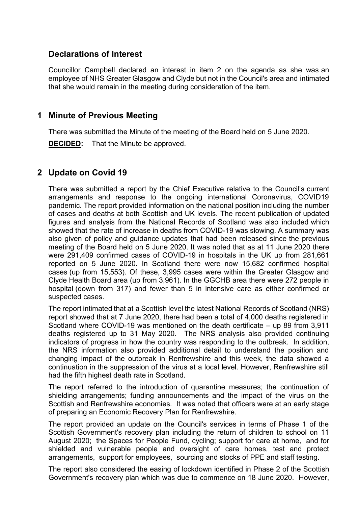## **Declarations of Interest**

Councillor Campbell declared an interest in item 2 on the agenda as she was an employee of NHS Greater Glasgow and Clyde but not in the Council's area and intimated that she would remain in the meeting during consideration of the item.

#### **1 Minute of Previous Meeting**

There was submitted the Minute of the meeting of the Board held on 5 June 2020.

**DECIDED:** That the Minute be approved.

## **2 Update on Covid 19**

There was submitted a report by the Chief Executive relative to the Council's current arrangements and response to the ongoing international Coronavirus, COVID19 pandemic. The report provided information on the national position including the number of cases and deaths at both Scottish and UK levels. The recent publication of updated figures and analysis from the National Records of Scotland was also included which showed that the rate of increase in deaths from COVID-19 was slowing. A summary was also given of policy and guidance updates that had been released since the previous meeting of the Board held on 5 June 2020. It was noted that as at 11 June 2020 there were 291,409 confirmed cases of COVID-19 in hospitals in the UK up from 281,661 reported on 5 June 2020. In Scotland there were now 15,682 confirmed hospital cases (up from 15,553). Of these, 3,995 cases were within the Greater Glasgow and Clyde Health Board area (up from 3,961). In the GGCHB area there were 272 people in hospital (down from 317) and fewer than 5 in intensive care as either confirmed or suspected cases.

The report intimated that at a Scottish level the latest National Records of Scotland (NRS) report showed that at 7 June 2020, there had been a total of 4,000 deaths registered in Scotland where COVID-19 was mentioned on the death certificate – up 89 from 3,911 deaths registered up to 31 May 2020. The NRS analysis also provided continuing indicators of progress in how the country was responding to the outbreak. In addition, the NRS information also provided additional detail to understand the position and changing impact of the outbreak in Renfrewshire and this week, the data showed a continuation in the suppression of the virus at a local level. However, Renfrewshire still had the fifth highest death rate in Scotland.

The report referred to the introduction of quarantine measures; the continuation of shielding arrangements; funding announcements and the impact of the virus on the Scottish and Renfrewshire economies. It was noted that officers were at an early stage of preparing an Economic Recovery Plan for Renfrewshire.

The report provided an update on the Council's services in terms of Phase 1 of the Scottish Government's recovery plan including the return of children to school on 11 August 2020; the Spaces for People Fund, cycling; support for care at home, and for shielded and vulnerable people and oversight of care homes, test and protect arrangements, support for employees, sourcing and stocks of PPE and staff testing.

The report also considered the easing of lockdown identified in Phase 2 of the Scottish Government's recovery plan which was due to commence on 18 June 2020. However,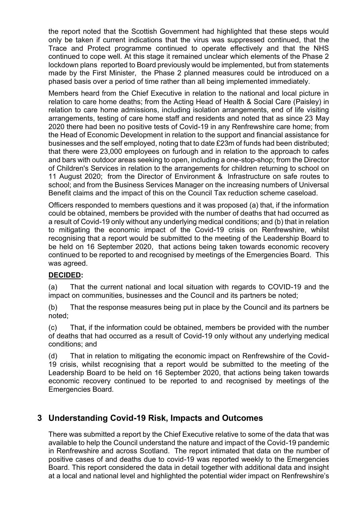the report noted that the Scottish Government had highlighted that these steps would only be taken if current indications that the virus was suppressed continued, that the Trace and Protect programme continued to operate effectively and that the NHS continued to cope well. At this stage it remained unclear which elements of the Phase 2 lockdown plans reported to Board previously would be implemented, but from statements made by the First Minister, the Phase 2 planned measures could be introduced on a phased basis over a period of time rather than all being implemented immediately.

Members heard from the Chief Executive in relation to the national and local picture in relation to care home deaths; from the Acting Head of Health & Social Care (Paisley) in relation to care home admissions, including isolation arrangements, end of life visiting arrangements, testing of care home staff and residents and noted that as since 23 May 2020 there had been no positive tests of Covid-19 in any Renfrewshire care home; from the Head of Economic Development in relation to the support and financial assistance for businesses and the self employed, noting that to date £23m of funds had been distributed; that there were 23,000 employees on furlough and in relation to the approach to cafes and bars with outdoor areas seeking to open, including a one-stop-shop; from the Director of Children's Services in relation to the arrangements for children returning to school on 11 August 2020; from the Director of Environment & Infrastructure on safe routes to school; and from the Business Services Manager on the increasing numbers of Universal Benefit claims and the impact of this on the Council Tax reduction scheme caseload.

Officers responded to members questions and it was proposed (a) that, if the information could be obtained, members be provided with the number of deaths that had occurred as a result of Covid-19 only without any underlying medical conditions; and (b) that in relation to mitigating the economic impact of the Covid-19 crisis on Renfrewshire, whilst recognising that a report would be submitted to the meeting of the Leadership Board to be held on 16 September 2020, that actions being taken towards economic recovery continued to be reported to and recognised by meetings of the Emergencies Board. This was agreed.

#### **DECIDED:**

(a) That the current national and local situation with regards to COVID-19 and the impact on communities, businesses and the Council and its partners be noted;

(b) That the response measures being put in place by the Council and its partners be noted;

(c) That, if the information could be obtained, members be provided with the number of deaths that had occurred as a result of Covid-19 only without any underlying medical conditions; and

(d) That in relation to mitigating the economic impact on Renfrewshire of the Covid-19 crisis, whilst recognising that a report would be submitted to the meeting of the Leadership Board to be held on 16 September 2020, that actions being taken towards economic recovery continued to be reported to and recognised by meetings of the Emergencies Board.

## **3 Understanding Covid-19 Risk, Impacts and Outcomes**

There was submitted a report by the Chief Executive relative to some of the data that was available to help the Council understand the nature and impact of the Covid-19 pandemic in Renfrewshire and across Scotland. The report intimated that data on the number of positive cases of and deaths due to covid-19 was reported weekly to the Emergencies Board. This report considered the data in detail together with additional data and insight at a local and national level and highlighted the potential wider impact on Renfrewshire's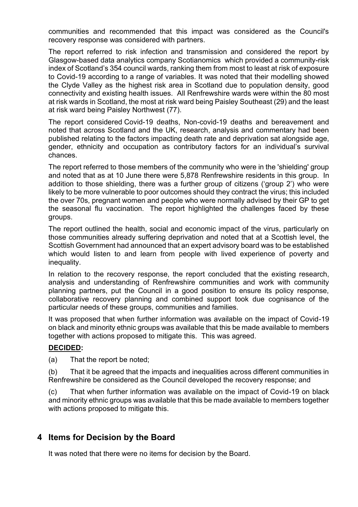communities and recommended that this impact was considered as the Council's recovery response was considered with partners.

The report referred to risk infection and transmission and considered the report by Glasgow-based data analytics company Scotianomics which provided a community-risk index of Scotland's 354 council wards, ranking them from most to least at risk of exposure to Covid-19 according to a range of variables. It was noted that their modelling showed the Clyde Valley as the highest risk area in Scotland due to population density, good connectivity and existing health issues. All Renfrewshire wards were within the 80 most at risk wards in Scotland, the most at risk ward being Paisley Southeast (29) and the least at risk ward being Paisley Northwest (77).

The report considered Covid-19 deaths, Non-covid-19 deaths and bereavement and noted that across Scotland and the UK, research, analysis and commentary had been published relating to the factors impacting death rate and deprivation sat alongside age, gender, ethnicity and occupation as contributory factors for an individual's survival chances.

The report referred to those members of the community who were in the 'shielding' group and noted that as at 10 June there were 5,878 Renfrewshire residents in this group. In addition to those shielding, there was a further group of citizens ('group 2') who were likely to be more vulnerable to poor outcomes should they contract the virus; this included the over 70s, pregnant women and people who were normally advised by their GP to get the seasonal flu vaccination. The report highlighted the challenges faced by these groups.

The report outlined the health, social and economic impact of the virus, particularly on those communities already suffering deprivation and noted that at a Scottish level, the Scottish Government had announced that an expert advisory board was to be established which would listen to and learn from people with lived experience of poverty and inequality.

In relation to the recovery response, the report concluded that the existing research, analysis and understanding of Renfrewshire communities and work with community planning partners, put the Council in a good position to ensure its policy response, collaborative recovery planning and combined support took due cognisance of the particular needs of these groups, communities and families.

It was proposed that when further information was available on the impact of Covid-19 on black and minority ethnic groups was available that this be made available to members together with actions proposed to mitigate this. This was agreed.

#### **DECIDED:**

(a) That the report be noted;

(b) That it be agreed that the impacts and inequalities across different communities in Renfrewshire be considered as the Council developed the recovery response; and

(c) That when further information was available on the impact of Covid-19 on black and minority ethnic groups was available that this be made available to members together with actions proposed to mitigate this.

## **4 Items for Decision by the Board**

It was noted that there were no items for decision by the Board.